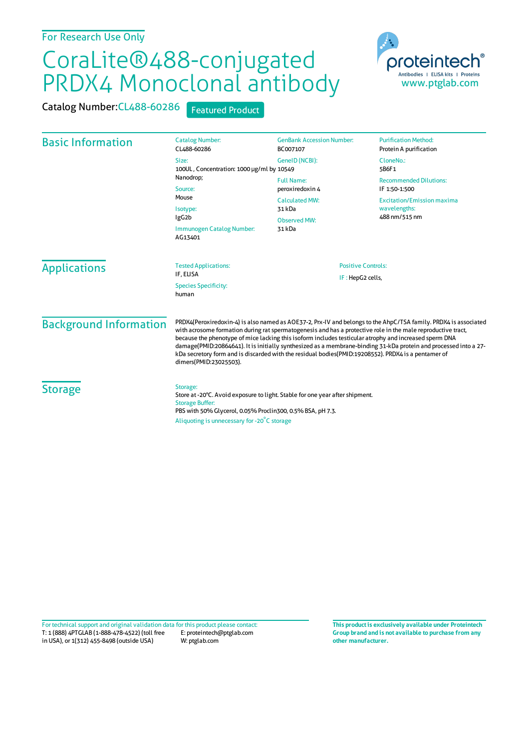## CoraLite®488-conjugated PRDX4 Monoclonal antibody



Catalog Number: CL488-60286 Featured Product

| <b>Basic Information</b> | <b>Catalog Number:</b><br>CL488-60286                                                                                                                                                                                           | <b>GenBank Accession Number:</b><br>BC007107                                                             | <b>Purification Method:</b><br>Protein A purification                                                                |                               |                                                                                                                                                                                                                                                                                                                                                                                                                                                                                                                                                                                                |                                               |  |
|--------------------------|---------------------------------------------------------------------------------------------------------------------------------------------------------------------------------------------------------------------------------|----------------------------------------------------------------------------------------------------------|----------------------------------------------------------------------------------------------------------------------|-------------------------------|------------------------------------------------------------------------------------------------------------------------------------------------------------------------------------------------------------------------------------------------------------------------------------------------------------------------------------------------------------------------------------------------------------------------------------------------------------------------------------------------------------------------------------------------------------------------------------------------|-----------------------------------------------|--|
|                          | Size:<br>100UL, Concentration: 1000 µg/ml by 10549<br>Nanodrop;<br>Source:<br>Mouse<br>Isotype:<br>IgG <sub>2</sub> b<br>Immunogen Catalog Number:<br>AG13401                                                                   | GenelD (NCBI):                                                                                           | CloneNo.:<br>5B6F1                                                                                                   |                               |                                                                                                                                                                                                                                                                                                                                                                                                                                                                                                                                                                                                |                                               |  |
|                          |                                                                                                                                                                                                                                 | <b>Full Name:</b><br>peroxiredoxin 4<br><b>Calculated MW:</b><br>31 kDa<br><b>Observed MW:</b><br>31 kDa | <b>Recommended Dilutions:</b><br>IF 1:50-1:500<br><b>Excitation/Emission maxima</b><br>wavelengths:<br>488 nm/515 nm |                               |                                                                                                                                                                                                                                                                                                                                                                                                                                                                                                                                                                                                |                                               |  |
|                          |                                                                                                                                                                                                                                 |                                                                                                          |                                                                                                                      | <b>Applications</b>           | <b>Tested Applications:</b><br>IF, ELISA                                                                                                                                                                                                                                                                                                                                                                                                                                                                                                                                                       | <b>Positive Controls:</b><br>IF: HepG2 cells, |  |
|                          |                                                                                                                                                                                                                                 |                                                                                                          |                                                                                                                      |                               | <b>Species Specificity:</b><br>human                                                                                                                                                                                                                                                                                                                                                                                                                                                                                                                                                           |                                               |  |
|                          |                                                                                                                                                                                                                                 |                                                                                                          |                                                                                                                      | <b>Background Information</b> | PRDX4(Peroxiredoxin-4) is also named as AOE37-2, Prx-IV and belongs to the AhpC/TSA family. PRDX4 is associated<br>with acrosome formation during rat spermatogenesis and has a protective role in the male reproductive tract,<br>because the phenotype of mice lacking this isoform includes testicular atrophy and increased sperm DNA<br>damage(PMID:20864641). It is initially synthesized as a membrane-binding 31-kDa protein and processed into a 27-<br>kDa secretory form and is discarded with the residual bodies(PMID:19208552). PRDX4 is a pentamer of<br>dimers(PMID:23025503). |                                               |  |
| <b>Storage</b>           | Storage:<br>Store at -20°C. Avoid exposure to light. Stable for one year after shipment.<br><b>Storage Buffer:</b><br>PBS with 50% Glycerol, 0.05% Proclin300, 0.5% BSA, pH 7.3.<br>Aliquoting is unnecessary for -20°C storage |                                                                                                          |                                                                                                                      |                               |                                                                                                                                                                                                                                                                                                                                                                                                                                                                                                                                                                                                |                                               |  |

T: 1 (888) 4PTGLAB (1-888-478-4522) (toll free in USA), or 1(312) 455-8498 (outside USA) E: proteintech@ptglab.com W: ptglab.com Fortechnical support and original validation data forthis product please contact: **This productis exclusively available under Proteintech**

**Group brand and is not available to purchase from any other manufacturer.**